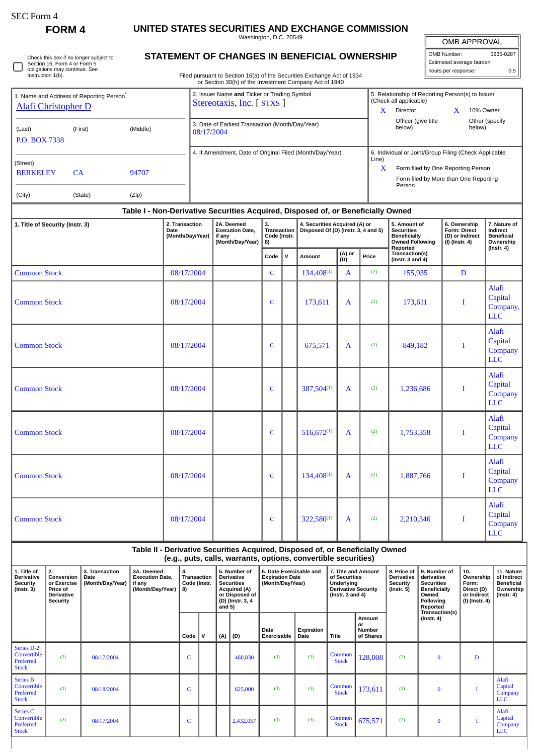$\Box$ 

Stock

Series C Convertible Preferred Stock

## **FORM 4 UNITED STATES SECURITIES AND EXCHANGE COMMISSION**

Washington, D.C. 20549

| Check this box if no longer subject to |
|----------------------------------------|
| Section 16. Form 4 or Form 5           |
| obligations may continue. See          |
| Instruction 1(b).                      |

## **STATEMENT OF CHANGES IN BENEFICIAL OWNERSHIP**

Filed pursuant to Section 16(a) of the Securities Exchange Act of 1934

| <b>OMB APPROVAL</b>      |     |  |  |  |  |  |  |  |
|--------------------------|-----|--|--|--|--|--|--|--|
| OMB Number:<br>3235-0287 |     |  |  |  |  |  |  |  |
| Estimated average burden |     |  |  |  |  |  |  |  |
| hours per response:      | 0.5 |  |  |  |  |  |  |  |

675,571 (2) 0 I

Alafi Capital Company LLC

|                                                                                                                                                                                                                                                                            |                     |                                                |                                                                               |            |                                                                                                                        |                                                  |                                                                       | $\frac{1}{2}$                                                             |                                                          |                                                             | or Section 30(h) of the Investment Company Act of 1940                                                                                                   |                                                                         |                                                                                                          |                                                                                                                                                                         |                                                                                    |                                                                                 |                                                                   |                                                            |
|----------------------------------------------------------------------------------------------------------------------------------------------------------------------------------------------------------------------------------------------------------------------------|---------------------|------------------------------------------------|-------------------------------------------------------------------------------|------------|------------------------------------------------------------------------------------------------------------------------|--------------------------------------------------|-----------------------------------------------------------------------|---------------------------------------------------------------------------|----------------------------------------------------------|-------------------------------------------------------------|----------------------------------------------------------------------------------------------------------------------------------------------------------|-------------------------------------------------------------------------|----------------------------------------------------------------------------------------------------------|-------------------------------------------------------------------------------------------------------------------------------------------------------------------------|------------------------------------------------------------------------------------|---------------------------------------------------------------------------------|-------------------------------------------------------------------|------------------------------------------------------------|
| 1. Name and Address of Reporting Person <sup>*</sup><br><b>Alafi Christopher D</b>                                                                                                                                                                                         |                     |                                                |                                                                               |            |                                                                                                                        |                                                  |                                                                       | 2. Issuer Name and Ticker or Trading Symbol<br>Stereotaxis, Inc. [ STXS ] |                                                          |                                                             |                                                                                                                                                          |                                                                         | 5. Relationship of Reporting Person(s) to Issuer<br>(Check all applicable)<br>$\mathbf{X}$<br>Director   |                                                                                                                                                                         |                                                                                    | 10% Owner<br>X.                                                                 |                                                                   |                                                            |
| (Last)<br><b>P.O. BOX 7338</b>                                                                                                                                                                                                                                             |                     | (First)                                        |                                                                               | 08/17/2004 |                                                                                                                        | 3. Date of Earliest Transaction (Month/Day/Year) |                                                                       |                                                                           |                                                          |                                                             | below)                                                                                                                                                   | Officer (give title                                                     |                                                                                                          | Other (specify<br>below)                                                                                                                                                |                                                                                    |                                                                                 |                                                                   |                                                            |
| (Street)<br><b>BERKELEY</b>                                                                                                                                                                                                                                                | CA                  |                                                | 94707                                                                         |            |                                                                                                                        |                                                  |                                                                       |                                                                           | 4. If Amendment, Date of Original Filed (Month/Day/Year) |                                                             |                                                                                                                                                          |                                                                         |                                                                                                          | 6. Individual or Joint/Group Filing (Check Applicable<br>Line)<br>$\mathbf{X}$<br>Form filed by One Reporting Person<br>Form filed by More than One Reporting<br>Person |                                                                                    |                                                                                 |                                                                   |                                                            |
| (City)                                                                                                                                                                                                                                                                     |                     | (State)                                        | (Zip)                                                                         |            |                                                                                                                        |                                                  |                                                                       |                                                                           |                                                          |                                                             |                                                                                                                                                          |                                                                         |                                                                                                          |                                                                                                                                                                         |                                                                                    |                                                                                 |                                                                   |                                                            |
| 1. Title of Security (Instr. 3)                                                                                                                                                                                                                                            |                     |                                                |                                                                               | Date       | 2. Transaction<br>(Month/Day/Year)                                                                                     |                                                  | 2A. Deemed<br><b>Execution Date,</b><br>if any<br>(Month/Day/Year)    |                                                                           | 3.<br><b>Transaction</b><br>Code (Instr.<br>8)           |                                                             | Table I - Non-Derivative Securities Acquired, Disposed of, or Beneficially Owned<br>4. Securities Acquired (A) or<br>Disposed Of (D) (Instr. 3, 4 and 5) |                                                                         |                                                                                                          |                                                                                                                                                                         | 5. Amount of<br><b>Securities</b><br><b>Beneficially</b><br><b>Owned Following</b> |                                                                                 | 6. Ownership<br>Form: Direct<br>(D) or Indirect<br>(I) (Instr. 4) | 7. Nature of<br>Indirect<br><b>Beneficial</b><br>Ownership |
|                                                                                                                                                                                                                                                                            |                     |                                                |                                                                               |            |                                                                                                                        |                                                  |                                                                       |                                                                           | Code                                                     | ${\mathsf v}$                                               | Amount                                                                                                                                                   | (A) or<br>(D)                                                           | Price                                                                                                    | Reported<br>Transaction(s)<br>(Instr. $3$ and $4$ )                                                                                                                     |                                                                                    |                                                                                 |                                                                   | $($ lnstr. 4 $)$                                           |
| <b>Common Stock</b>                                                                                                                                                                                                                                                        |                     |                                                |                                                                               |            | 08/17/2004                                                                                                             |                                                  |                                                                       |                                                                           | C                                                        |                                                             | $134,408^{(1)}$                                                                                                                                          | A                                                                       | (2)                                                                                                      | 155,935                                                                                                                                                                 | D                                                                                  |                                                                                 |                                                                   |                                                            |
|                                                                                                                                                                                                                                                                            | <b>Common Stock</b> |                                                |                                                                               |            | 08/17/2004                                                                                                             |                                                  |                                                                       |                                                                           | C                                                        |                                                             | 173,611                                                                                                                                                  | A                                                                       | (2)                                                                                                      | 173,611                                                                                                                                                                 |                                                                                    |                                                                                 | I                                                                 | Alafi<br>Capital<br>Company,<br><b>LLC</b>                 |
|                                                                                                                                                                                                                                                                            | <b>Common Stock</b> |                                                |                                                                               |            | 08/17/2004                                                                                                             |                                                  |                                                                       |                                                                           | C                                                        |                                                             | 675,571                                                                                                                                                  | A                                                                       | (2)                                                                                                      |                                                                                                                                                                         | 849,182                                                                            |                                                                                 | Alafi<br>Capital<br>I<br>Company<br><b>LLC</b>                    |                                                            |
| <b>Common Stock</b>                                                                                                                                                                                                                                                        |                     |                                                |                                                                               | 08/17/2004 |                                                                                                                        |                                                  |                                                                       |                                                                           | C                                                        |                                                             | 387,504(1)<br>A                                                                                                                                          |                                                                         | (2)                                                                                                      |                                                                                                                                                                         | 1,236,686                                                                          |                                                                                 | I                                                                 | Alafi<br>Capital<br>Company<br><b>LLC</b>                  |
| <b>Common Stock</b>                                                                                                                                                                                                                                                        |                     |                                                |                                                                               | 08/17/2004 |                                                                                                                        |                                                  |                                                                       |                                                                           | C                                                        |                                                             | $516,672^{(1)}$                                                                                                                                          | A                                                                       | (2)                                                                                                      |                                                                                                                                                                         | 1,753,358                                                                          |                                                                                 | I                                                                 | Alafi<br>Capital<br>Company<br><b>LLC</b>                  |
| <b>Common Stock</b>                                                                                                                                                                                                                                                        |                     |                                                |                                                                               | 08/17/2004 |                                                                                                                        |                                                  |                                                                       |                                                                           | $\mathbf C$                                              |                                                             | $134,408^{(1)}$<br>A                                                                                                                                     |                                                                         | (2)                                                                                                      |                                                                                                                                                                         | 1,887,766                                                                          |                                                                                 | I                                                                 | Alafi<br>Capital<br>Company<br><b>LLC</b>                  |
| <b>Common Stock</b>                                                                                                                                                                                                                                                        |                     |                                                | 08/17/2004                                                                    |            |                                                                                                                        |                                                  |                                                                       |                                                                           |                                                          | $322,580^{(1)}$<br>A                                        |                                                                                                                                                          | (2)                                                                     |                                                                                                          | 2,210,346                                                                                                                                                               |                                                                                    | I                                                                               | Alafi<br>Capital<br>Company<br><b>LLC</b>                         |                                                            |
|                                                                                                                                                                                                                                                                            |                     |                                                | Table II - Derivative Securities Acquired, Disposed of, or Beneficially Owned |            |                                                                                                                        |                                                  |                                                                       |                                                                           |                                                          |                                                             | (e.g., puts, calls, warrants, options, convertible securities)                                                                                           |                                                                         |                                                                                                          |                                                                                                                                                                         |                                                                                    |                                                                                 |                                                                   |                                                            |
| 1. Title of<br>2.<br>3. Transaction<br>3A. Deemed<br>Derivative<br>Conversion<br><b>Execution Date,</b><br>Date<br><b>Security</b><br>or Exercise<br>(Month/Day/Year)<br>if any<br>$($ Instr. $3)$<br>Price of<br>(Month/Day/Year)<br><b>Derivative</b><br><b>Security</b> |                     | 4.<br><b>Transaction</b><br>Code (Instr.<br>8) |                                                                               |            | 5. Number of<br>Derivative<br><b>Securities</b><br><b>Acquired (A)</b><br>or Disposed of<br>(D) (Instr. 3, 4<br>and 5) |                                                  | 6. Date Exercisable and<br><b>Expiration Date</b><br>(Month/Day/Year) |                                                                           |                                                          | of Securities<br><b>Underlying</b><br>(Instr. $3$ and $4$ ) | 7. Title and Amount<br><b>Derivative Security</b>                                                                                                        | 8. Price of<br><b>Derivative</b><br><b>Security</b><br>$($ Instr. 5 $)$ | 9. Number of<br>derivative<br><b>Securities</b><br><b>Beneficially</b><br>Owned<br>Following<br>Reported |                                                                                                                                                                         | 10.<br>Ownership<br>Form:<br>Direct (D)<br>or Indirect<br>(I) (Instr. 4)           | 11. Nature<br>of Indirect<br><b>Beneficial</b><br>Ownership<br>$($ lnstr. 4 $)$ |                                                                   |                                                            |
|                                                                                                                                                                                                                                                                            |                     |                                                |                                                                               | Code       |                                                                                                                        | v                                                | (D)<br>(A)                                                            |                                                                           | Date<br>Exercisable                                      |                                                             | Expiration<br>Date                                                                                                                                       | <b>Title</b>                                                            | Amount<br>or<br>Number<br>of Shares                                                                      |                                                                                                                                                                         | Transaction(s)<br>$($ Instr. 4 $)$                                                 |                                                                                 |                                                                   |                                                            |
| Series D-2<br>Convertible<br>Preferred<br><b>Stock</b>                                                                                                                                                                                                                     | (2)                 | 08/17/2004                                     |                                                                               |            | C                                                                                                                      |                                                  |                                                                       | 460,830                                                                   | (3)                                                      |                                                             | (3)                                                                                                                                                      | Common<br><b>Stock</b>                                                  | 128,008                                                                                                  | (2)                                                                                                                                                                     | $\bf{0}$                                                                           |                                                                                 | $\mathbf D$                                                       |                                                            |
| <b>Series B</b><br>Convertible<br>Preferred<br><b>Stock</b>                                                                                                                                                                                                                | (2)                 | 08/18/2004                                     |                                                                               |            | C                                                                                                                      |                                                  |                                                                       | 625,000                                                                   | (3)                                                      |                                                             | (3)                                                                                                                                                      | Common<br><b>Stock</b>                                                  | 173,611                                                                                                  | (2)                                                                                                                                                                     | $\bf{0}$                                                                           |                                                                                 | Т                                                                 | Alafi<br>Capital<br>Company<br><b>LLC</b>                  |

(2) 08/17/2004 C C 2,432,057 (3) (3) Common Stock